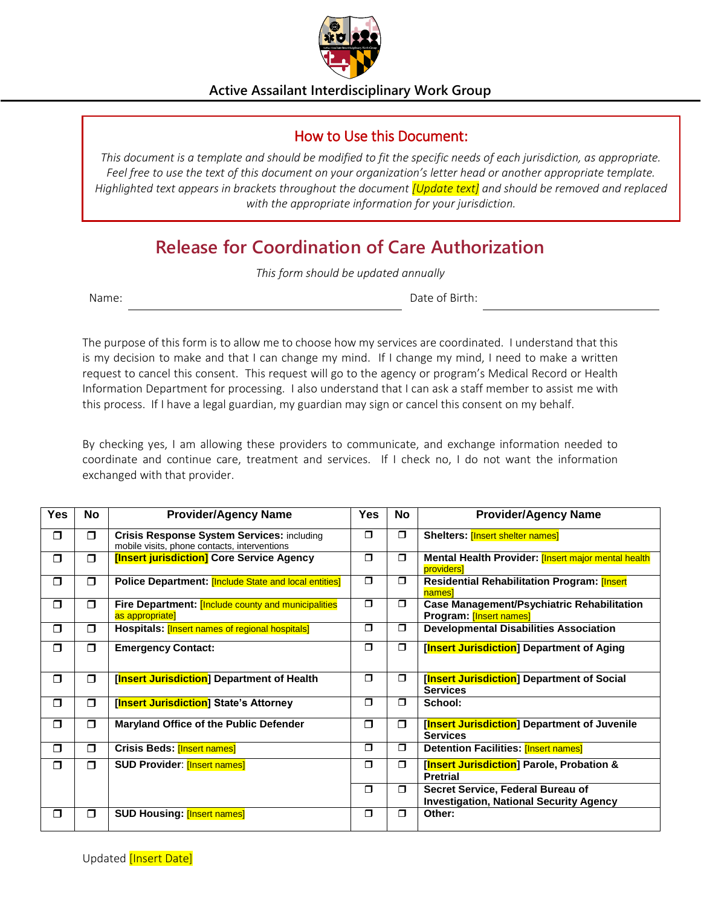

**Active Assailant Interdisciplinary Work Group**

## How to Use this Document:

*This document is a template and should be modified to fit the specific needs of each jurisdiction, as appropriate. Feel free to use the text of this document on your organization's letter head or another appropriate template. Highlighted text appears in brackets throughout the document [Update text] and should be removed and replaced with the appropriate information for your jurisdiction.* 

## **Release for Coordination of Care Authorization**

*This form should be updated annually*

Name: **Name:** Date of Birth:

The purpose of this form is to allow me to choose how my services are coordinated. I understand that this is my decision to make and that I can change my mind. If I change my mind, I need to make a written request to cancel this consent. This request will go to the agency or program's Medical Record or Health Information Department for processing. I also understand that I can ask a staff member to assist me with this process. If I have a legal guardian, my guardian may sign or cancel this consent on my behalf.

By checking yes, I am allowing these providers to communicate, and exchange information needed to coordinate and continue care, treatment and services. If I check no, I do not want the information exchanged with that provider.

| <b>Yes</b> | No     | <b>Provider/Agency Name</b>                                                                       | <b>Yes</b> | <b>No</b> | <b>Provider/Agency Name</b>                                                         |
|------------|--------|---------------------------------------------------------------------------------------------------|------------|-----------|-------------------------------------------------------------------------------------|
| $\Box$     | $\Box$ | <b>Crisis Response System Services: including</b><br>mobile visits, phone contacts, interventions | $\Box$     | $\Box$    | <b>Shelters: [Insert shelter names]</b>                                             |
| $\Box$     | $\Box$ | [Insert jurisdiction] Core Service Agency                                                         | $\Box$     | $\Box$    | Mental Health Provider: [Insert major mental health<br><b>providers</b>             |
| $\Box$     | $\Box$ | Police Department: [Include State and local entities]                                             | $\Box$     | $\Box$    | Residential Rehabilitation Program: [Insert<br>names                                |
| $\Box$     | $\Box$ | <b>Fire Department: [Include county and municipalities</b><br>as appropriate]                     | $\Box$     | $\Box$    | <b>Case Management/Psychiatric Rehabilitation</b><br>Program: [Insert names]        |
| $\Box$     | $\Box$ | Hospitals: [Insert names of regional hospitals]                                                   | $\Box$     | $\Box$    | <b>Developmental Disabilities Association</b>                                       |
| $\Box$     | $\Box$ | <b>Emergency Contact:</b>                                                                         | $\Box$     | $\Box$    | [Insert Jurisdiction] Department of Aging                                           |
| $\Box$     | $\Box$ | [Insert Jurisdiction] Department of Health                                                        | $\Box$     | $\Box$    | [Insert Jurisdiction] Department of Social<br><b>Services</b>                       |
| $\Box$     | $\Box$ | [Insert Jurisdiction] State's Attorney                                                            | $\Box$     | σ         | School:                                                                             |
| $\Box$     | $\Box$ | Maryland Office of the Public Defender                                                            | $\Box$     | $\Box$    | [Insert Jurisdiction] Department of Juvenile<br><b>Services</b>                     |
| $\Box$     | $\Box$ | <b>Crisis Beds: [Insert names]</b>                                                                | $\Box$     | σ         | <b>Detention Facilities: [Insert names]</b>                                         |
| $\Box$     | $\Box$ | <b>SUD Provider: [Insert names]</b>                                                               | $\Box$     | σ         | [Insert Jurisdiction] Parole, Probation &<br><b>Pretrial</b>                        |
|            |        |                                                                                                   | $\Box$     | $\Box$    | Secret Service, Federal Bureau of<br><b>Investigation, National Security Agency</b> |
| $\Box$     | $\Box$ | <b>SUD Housing: [Insert names]</b>                                                                | $\Box$     | $\Box$    | Other:                                                                              |